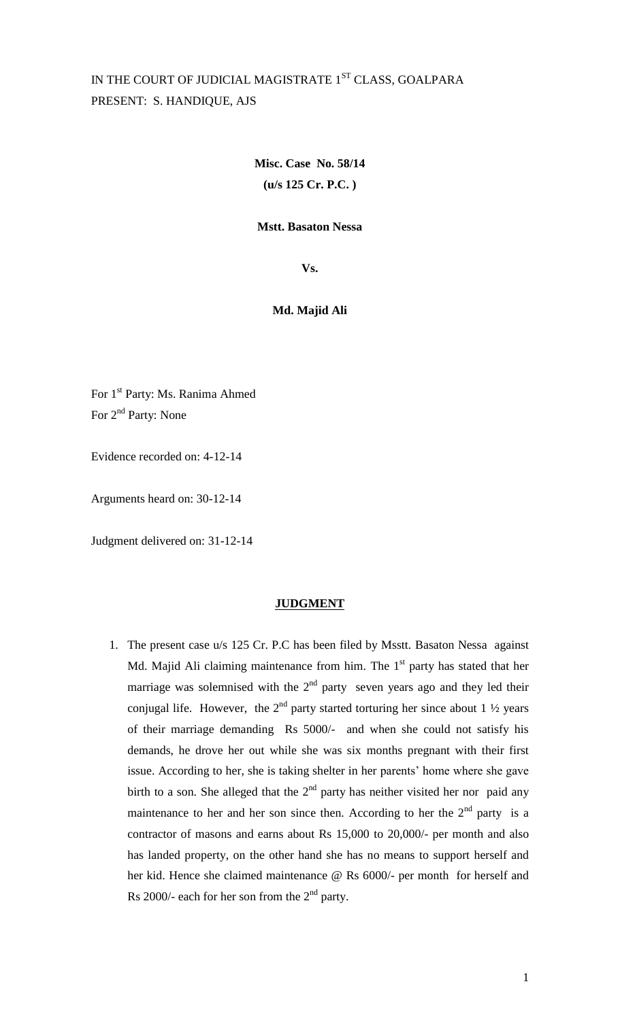# IN THE COURT OF JUDICIAL MAGISTRATE 1ST CLASS, GOALPARA PRESENT: S. HANDIQUE, AJS

**Misc. Case No. 58/14 (u/s 125 Cr. P.C. )**

## **Mstt. Basaton Nessa**

**Vs.**

# **Md. Majid Ali**

For 1st Party: Ms. Ranima Ahmed For  $2^{nd}$  Party: None

Evidence recorded on: 4-12-14

Arguments heard on: 30-12-14

Judgment delivered on: 31-12-14

#### **JUDGMENT**

1. The present case u/s 125 Cr. P.C has been filed by Msstt. Basaton Nessa against Md. Majid Ali claiming maintenance from him. The  $1<sup>st</sup>$  party has stated that her marriage was solemnised with the  $2<sup>nd</sup>$  party seven years ago and they led their conjugal life. However, the  $2<sup>nd</sup>$  party started torturing her since about 1  $\frac{1}{2}$  years of their marriage demanding Rs 5000/- and when she could not satisfy his demands, he drove her out while she was six months pregnant with their first issue. According to her, she is taking shelter in her parents' home where she gave birth to a son. She alleged that the  $2<sup>nd</sup>$  party has neither visited her nor paid any maintenance to her and her son since then. According to her the  $2<sup>nd</sup>$  party is a contractor of masons and earns about Rs 15,000 to 20,000/- per month and also has landed property, on the other hand she has no means to support herself and her kid. Hence she claimed maintenance @ Rs 6000/- per month for herself and Rs 2000/- each for her son from the  $2<sup>nd</sup>$  party.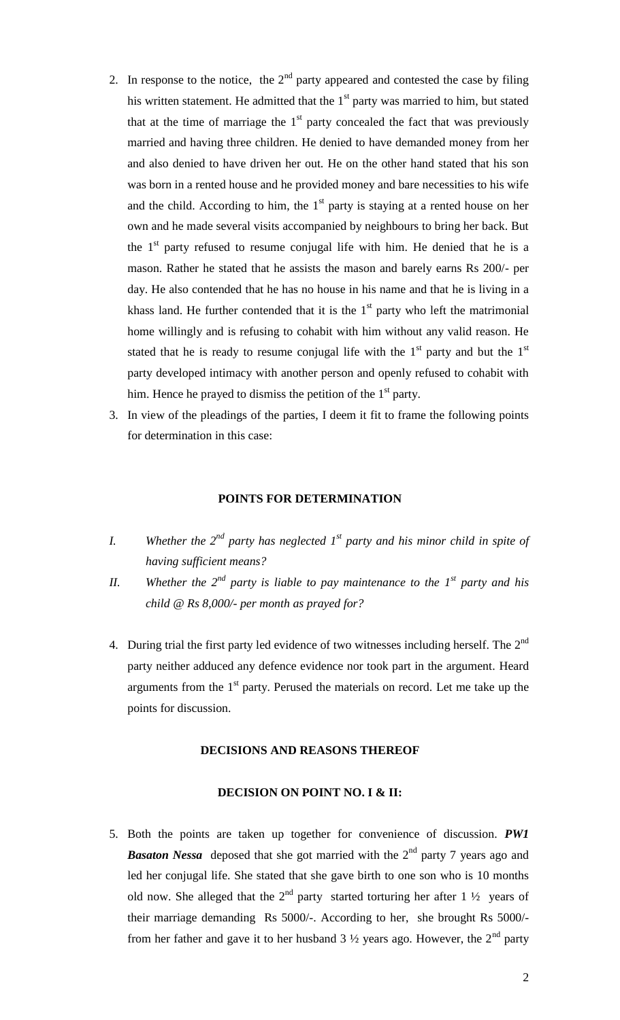- 2. In response to the notice, the  $2<sup>nd</sup>$  party appeared and contested the case by filing his written statement. He admitted that the  $1<sup>st</sup>$  party was married to him, but stated that at the time of marriage the  $1<sup>st</sup>$  party concealed the fact that was previously married and having three children. He denied to have demanded money from her and also denied to have driven her out. He on the other hand stated that his son was born in a rented house and he provided money and bare necessities to his wife and the child. According to him, the  $1<sup>st</sup>$  party is staying at a rented house on her own and he made several visits accompanied by neighbours to bring her back. But the  $1<sup>st</sup>$  party refused to resume conjugal life with him. He denied that he is a mason. Rather he stated that he assists the mason and barely earns Rs 200/- per day. He also contended that he has no house in his name and that he is living in a khass land. He further contended that it is the  $1<sup>st</sup>$  party who left the matrimonial home willingly and is refusing to cohabit with him without any valid reason. He stated that he is ready to resume conjugal life with the  $1<sup>st</sup>$  party and but the  $1<sup>st</sup>$ party developed intimacy with another person and openly refused to cohabit with him. Hence he prayed to dismiss the petition of the  $1<sup>st</sup>$  party.
- 3. In view of the pleadings of the parties, I deem it fit to frame the following points for determination in this case:

## **POINTS FOR DETERMINATION**

- *I. Whether the 2nd party has neglected 1st party and his minor child in spite of having sufficient means?*
- *II. Whether the*  $2^{nd}$  *party is liable to pay maintenance to the*  $1^{st}$  *party and his child @ Rs 8,000/- per month as prayed for?*
- 4. During trial the first party led evidence of two witnesses including herself. The  $2^{nd}$ party neither adduced any defence evidence nor took part in the argument. Heard arguments from the  $1<sup>st</sup>$  party. Perused the materials on record. Let me take up the points for discussion.

## **DECISIONS AND REASONS THEREOF**

### **DECISION ON POINT NO. I & II:**

5. Both the points are taken up together for convenience of discussion. *PW1*  **Basaton Nessa** deposed that she got married with the 2<sup>nd</sup> party 7 years ago and led her conjugal life. She stated that she gave birth to one son who is 10 months old now. She alleged that the  $2<sup>nd</sup>$  party started torturing her after 1  $\frac{1}{2}$  years of their marriage demanding Rs 5000/-. According to her, she brought Rs 5000/ from her father and gave it to her husband  $3\frac{1}{2}$  years ago. However, the  $2<sup>nd</sup>$  party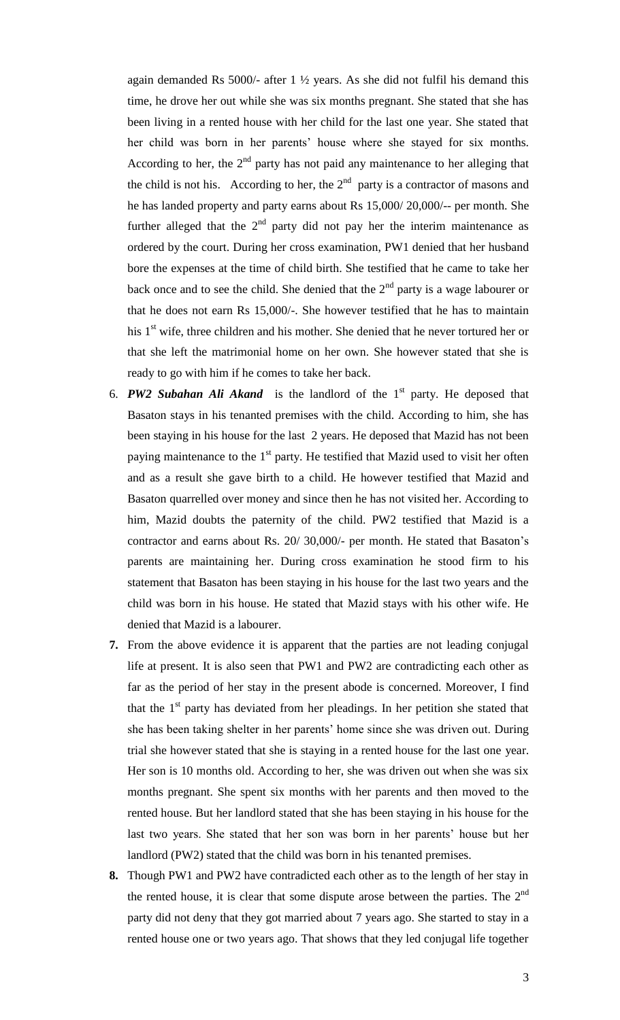again demanded Rs 5000/- after 1 ½ years. As she did not fulfil his demand this time, he drove her out while she was six months pregnant. She stated that she has been living in a rented house with her child for the last one year. She stated that her child was born in her parents' house where she stayed for six months. According to her, the  $2<sup>nd</sup>$  party has not paid any maintenance to her alleging that the child is not his. According to her, the  $2<sup>nd</sup>$  party is a contractor of masons and he has landed property and party earns about Rs 15,000/ 20,000/-- per month. She further alleged that the  $2<sup>nd</sup>$  party did not pay her the interim maintenance as ordered by the court. During her cross examination, PW1 denied that her husband bore the expenses at the time of child birth. She testified that he came to take her back once and to see the child. She denied that the  $2<sup>nd</sup>$  party is a wage labourer or that he does not earn Rs 15,000/-. She however testified that he has to maintain his  $1<sup>st</sup>$  wife, three children and his mother. She denied that he never tortured her or that she left the matrimonial home on her own. She however stated that she is ready to go with him if he comes to take her back.

- 6. *PW2 Subahan Ali Akand* is the landlord of the 1<sup>st</sup> party. He deposed that Basaton stays in his tenanted premises with the child. According to him, she has been staying in his house for the last 2 years. He deposed that Mazid has not been paying maintenance to the  $1<sup>st</sup>$  party. He testified that Mazid used to visit her often and as a result she gave birth to a child. He however testified that Mazid and Basaton quarrelled over money and since then he has not visited her. According to him, Mazid doubts the paternity of the child. PW2 testified that Mazid is a contractor and earns about Rs. 20/ 30,000/- per month. He stated that Basaton's parents are maintaining her. During cross examination he stood firm to his statement that Basaton has been staying in his house for the last two years and the child was born in his house. He stated that Mazid stays with his other wife. He denied that Mazid is a labourer.
- **7.** From the above evidence it is apparent that the parties are not leading conjugal life at present. It is also seen that PW1 and PW2 are contradicting each other as far as the period of her stay in the present abode is concerned. Moreover, I find that the  $1<sup>st</sup>$  party has deviated from her pleadings. In her petition she stated that she has been taking shelter in her parents' home since she was driven out. During trial she however stated that she is staying in a rented house for the last one year. Her son is 10 months old. According to her, she was driven out when she was six months pregnant. She spent six months with her parents and then moved to the rented house. But her landlord stated that she has been staying in his house for the last two years. She stated that her son was born in her parents' house but her landlord (PW2) stated that the child was born in his tenanted premises.
- **8.** Though PW1 and PW2 have contradicted each other as to the length of her stay in the rented house, it is clear that some dispute arose between the parties. The  $2<sup>nd</sup>$ party did not deny that they got married about 7 years ago. She started to stay in a rented house one or two years ago. That shows that they led conjugal life together